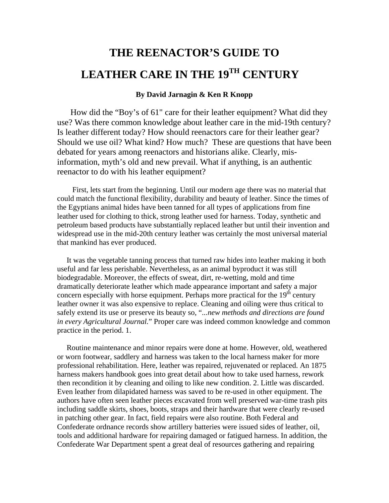## **THE REENACTOR'S GUIDE TO LEATHER CARE IN THE 19TH CENTURY**

## **By David Jarnagin & Ken R Knopp**

 How did the "Boy's of 61" care for their leather equipment? What did they use? Was there common knowledge about leather care in the mid-19th century? Is leather different today? How should reenactors care for their leather gear? Should we use oil? What kind? How much? These are questions that have been debated for years among reenactors and historians alike. Clearly, misinformation, myth's old and new prevail. What if anything, is an authentic reenactor to do with his leather equipment?

 First, lets start from the beginning. Until our modern age there was no material that could match the functional flexibility, durability and beauty of leather. Since the times of the Egyptians animal hides have been tanned for all types of applications from fine leather used for clothing to thick, strong leather used for harness. Today, synthetic and petroleum based products have substantially replaced leather but until their invention and widespread use in the mid-20th century leather was certainly the most universal material that mankind has ever produced.

 It was the vegetable tanning process that turned raw hides into leather making it both useful and far less perishable. Nevertheless, as an animal byproduct it was still biodegradable. Moreover, the effects of sweat, dirt, re-wetting, mold and time dramatically deteriorate leather which made appearance important and safety a major concern especially with horse equipment. Perhaps more practical for the  $19<sup>th</sup>$  century leather owner it was also expensive to replace. Cleaning and oiling were thus critical to safely extend its use or preserve its beauty so, "*...new methods and directions are found in every Agricultural Journal.*" Proper care was indeed common knowledge and common practice in the period. 1.

 Routine maintenance and minor repairs were done at home. However, old, weathered or worn footwear, saddlery and harness was taken to the local harness maker for more professional rehabilitation. Here, leather was repaired, rejuvenated or replaced. An 1875 harness makers handbook goes into great detail about how to take used harness, rework then recondition it by cleaning and oiling to like new condition. 2. Little was discarded. Even leather from dilapidated harness was saved to be re-used in other equipment. The authors have often seen leather pieces excavated from well preserved war-time trash pits including saddle skirts, shoes, boots, straps and their hardware that were clearly re-used in patching other gear. In fact, field repairs were also routine. Both Federal and Confederate ordnance records show artillery batteries were issued sides of leather, oil, tools and additional hardware for repairing damaged or fatigued harness. In addition, the Confederate War Department spent a great deal of resources gathering and repairing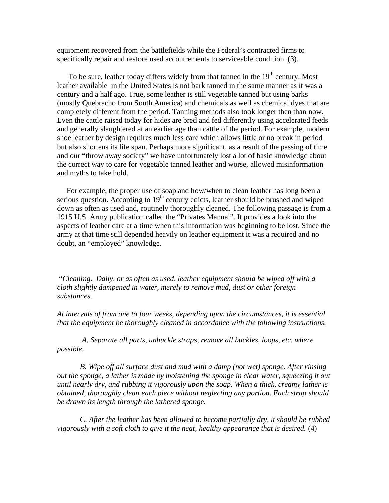equipment recovered from the battlefields while the Federal's contracted firms to specifically repair and restore used accoutrements to serviceable condition. (3).

To be sure, leather today differs widely from that tanned in the  $19<sup>th</sup>$  century. Most leather available in the United States is not bark tanned in the same manner as it was a century and a half ago. True, some leather is still vegetable tanned but using barks (mostly Quebracho from South America) and chemicals as well as chemical dyes that are completely different from the period. Tanning methods also took longer then than now. Even the cattle raised today for hides are bred and fed differently using accelerated feeds and generally slaughtered at an earlier age than cattle of the period. For example, modern shoe leather by design requires much less care which allows little or no break in period but also shortens its life span. Perhaps more significant, as a result of the passing of time and our "throw away society" we have unfortunately lost a lot of basic knowledge about the correct way to care for vegetable tanned leather and worse, allowed misinformation and myths to take hold.

 For example, the proper use of soap and how/when to clean leather has long been a serious question. According to  $19<sup>th</sup>$  century edicts, leather should be brushed and wiped down as often as used and, routinely thoroughly cleaned. The following passage is from a 1915 U.S. Army publication called the "Privates Manual". It provides a look into the aspects of leather care at a time when this information was beginning to be lost. Since the army at that time still depended heavily on leather equipment it was a required and no doubt, an "employed" knowledge.

 "*Cleaning. Daily, or as often as used, leather equipment should be wiped off with a cloth slightly dampened in water, merely to remove mud, dust or other foreign substances.* 

*At intervals of from one to four weeks, depending upon the circumstances, it is essential that the equipment be thoroughly cleaned in accordance with the following instructions.*

 *A. Separate all parts, unbuckle straps, remove all buckles, loops, etc. where possible.* 

 *B. Wipe off all surface dust and mud with a damp (not wet) sponge. After rinsing out the sponge, a lather is made by moistening the sponge in clear water, squeezing it out until nearly dry, and rubbing it vigorously upon the soap. When a thick, creamy lather is obtained, thoroughly clean each piece without neglecting any portion. Each strap should be drawn its length through the lathered sponge.* 

 *C. After the leather has been allowed to become partially dry, it should be rubbed vigorously with a soft cloth to give it the neat, healthy appearance that is desired.* (4)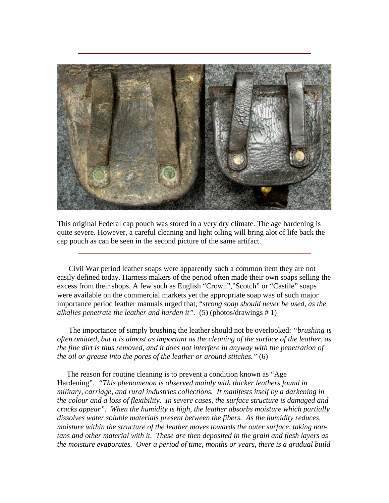

This original Federal cap pouch was stored in a very dry climate. The age hardening is quite severe. However, a careful cleaning and light oiling will bring alot of life back the cap pouch as can be seen in the second picture of the same artifact.

 Civil War period leather soaps were apparently such a common item they are not easily defined today. Harness makers of the period often made their own soaps selling the excess from their shops. A few such as English "Crown","Scotch" or "Castile" soaps were available on the commercial markets yet the appropriate soap was of such major importance period leather manuals urged that, "*strong soap should never be used, as the alkalies penetrate the leather and harden it".* (5) (photos/drawings # 1)

 The importance of simply brushing the leather should not be overlooked: *"brushing is often omitted, but it is almost as important as the cleaning of the surface of the leather, as the fine dirt is thus removed, and it does not interfere in anyway with the penetration of the oil or grease into the pores of the leather or around stitches."* (6)

 The reason for routine cleaning is to prevent a condition known as "Age Hardening". *"This phenomenon is observed mainly with thicker leathers found in military, carriage, and rural industries collections. It manifests itself by a darkening in the colour and a loss of flexibility. In severe cases, the surface structure is damaged and cracks appear". When the humidity is high, the leather absorbs moisture which partially dissolves water soluble materials present between the fibers. As the humidity reduces, moisture within the structure of the leather moves towards the outer surface, taking nontans and other material with it. These are then deposited in the grain and flesh layers as the moisture evaporates. Over a period of time, months or years, there is a gradual build*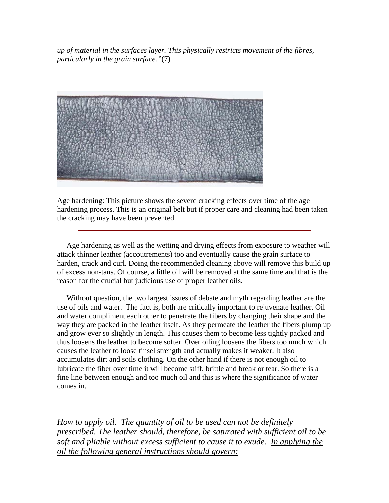*up of material in the surfaces layer. This physically restricts movement of the fibres, particularly in the grain surface."*(7)



Age hardening: This picture shows the severe cracking effects over time of the age hardening process. This is an original belt but if proper care and cleaning had been taken the cracking may have been prevented

 Age hardening as well as the wetting and drying effects from exposure to weather will attack thinner leather (accoutrements) too and eventually cause the grain surface to harden, crack and curl. Doing the recommended cleaning above will remove this build up of excess non-tans. Of course, a little oil will be removed at the same time and that is the reason for the crucial but judicious use of proper leather oils.

 Without question, the two largest issues of debate and myth regarding leather are the use of oils and water. The fact is, both are critically important to rejuvenate leather. Oil and water compliment each other to penetrate the fibers by changing their shape and the way they are packed in the leather itself. As they permeate the leather the fibers plump up and grow ever so slightly in length. This causes them to become less tightly packed and thus loosens the leather to become softer. Over oiling loosens the fibers too much which causes the leather to loose tinsel strength and actually makes it weaker. It also accumulates dirt and soils clothing. On the other hand if there is not enough oil to lubricate the fiber over time it will become stiff, brittle and break or tear. So there is a fine line between enough and too much oil and this is where the significance of water comes in.

*How to apply oil. The quantity of oil to be used can not be definitely prescribed. The leather should, therefore, be saturated with sufficient oil to be soft and pliable without excess sufficient to cause it to exude. In applying the oil the following general instructions should govern:*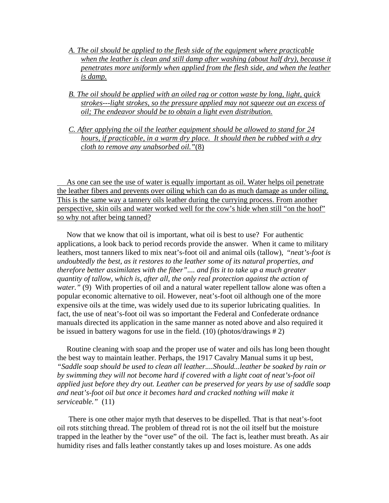- *A. The oil should be applied to the flesh side of the equipment where practicable when the leather is clean and still damp after washing (about half dry), because it penetrates more uniformly when applied from the flesh side, and when the leather is damp.*
- *B. The oil should be applied with an oiled rag or cotton waste by long, light, quick strokes---light strokes, so the pressure applied may not squeeze out an excess of oil; The endeavor should be to obtain a light even distribution.*
- *C. After applying the oil the leather equipment should be allowed to stand for 24 hours, if practicable, in a warm dry place. It should then be rubbed with a dry cloth to remove any unabsorbed oil."*(8)

 As one can see the use of water is equally important as oil. Water helps oil penetrate the leather fibers and prevents over oiling which can do as much damage as under oiling. This is the same way a tannery oils leather during the currying process. From another perspective, skin oils and water worked well for the cow's hide when still "on the hoof" so why not after being tanned?

 Now that we know that oil is important, what oil is best to use? For authentic applications, a look back to period records provide the answer. When it came to military leathers, most tanners liked to mix neat's-foot oil and animal oils (tallow), "*neat's-foot is undoubtedly the best, as it restores to the leather some of its natural properties, and therefore better assimilates with the fiber".... and fits it to take up a much greater quantity of tallow, which is, after all, the only real protection against the action of water."* (9) With properties of oil and a natural water repellent tallow alone was often a popular economic alternative to oil. However, neat's-foot oil although one of the more expensive oils at the time, was widely used due to its superior lubricating qualities. In fact, the use of neat's-foot oil was so important the Federal and Confederate ordnance manuals directed its application in the same manner as noted above and also required it be issued in battery wagons for use in the field. (10) (photos/drawings # 2)

 Routine cleaning with soap and the proper use of water and oils has long been thought the best way to maintain leather. Perhaps, the 1917 Cavalry Manual sums it up best, *"Saddle soap should be used to clean all leather....Should...leather be soaked by rain or by swimming they will not become hard if covered with a light coat of neat's-foot oil applied just before they dry out. Leather can be preserved for years by use of saddle soap*  and neat's-foot oil but once it becomes hard and cracked nothing will make it *serviceable."* (11)

 There is one other major myth that deserves to be dispelled. That is that neat's-foot oil rots stitching thread. The problem of thread rot is not the oil itself but the moisture trapped in the leather by the "over use" of the oil. The fact is, leather must breath. As air humidity rises and falls leather constantly takes up and loses moisture. As one adds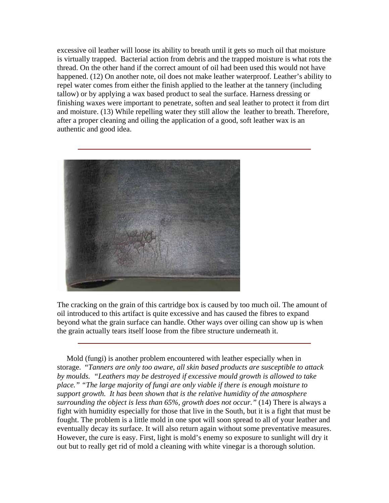excessive oil leather will loose its ability to breath until it gets so much oil that moisture is virtually trapped. Bacterial action from debris and the trapped moisture is what rots the thread. On the other hand if the correct amount of oil had been used this would not have happened. (12) On another note, oil does not make leather waterproof. Leather's ability to repel water comes from either the finish applied to the leather at the tannery (including tallow) or by applying a wax based product to seal the surface. Harness dressing or finishing waxes were important to penetrate, soften and seal leather to protect it from dirt and moisture. (13) While repelling water they still allow the leather to breath. Therefore, after a proper cleaning and oiling the application of a good, soft leather wax is an authentic and good idea.



The cracking on the grain of this cartridge box is caused by too much oil. The amount of oil introduced to this artifact is quite excessive and has caused the fibres to expand beyond what the grain surface can handle. Other ways over oiling can show up is when the grain actually tears itself loose from the fibre structure underneath it.

 Mold (fungi) is another problem encountered with leather especially when in storage. "*Tanners are only too aware, all skin based products are susceptible to attack by moulds. "Leathers may be destroyed if excessive mould growth is allowed to take place." "The large majority of fungi are only viable if there is enough moisture to support growth. It has been shown that is the relative humidity of the atmosphere surrounding the object is less than 65%, growth does not occur."* (14) There is always a fight with humidity especially for those that live in the South, but it is a fight that must be fought. The problem is a little mold in one spot will soon spread to all of your leather and eventually decay its surface. It will also return again without some preventative measures. However, the cure is easy. First, light is mold's enemy so exposure to sunlight will dry it out but to really get rid of mold a cleaning with white vinegar is a thorough solution.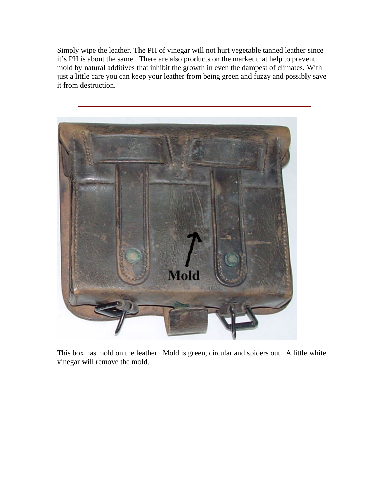Simply wipe the leather. The PH of vinegar will not hurt vegetable tanned leather since it's PH is about the same. There are also products on the market that help to prevent mold by natural additives that inhibit the growth in even the dampest of climates. With just a little care you can keep your leather from being green and fuzzy and possibly save it from destruction.



This box has mold on the leather. Mold is green, circular and spiders out. A little white vinegar will remove the mold.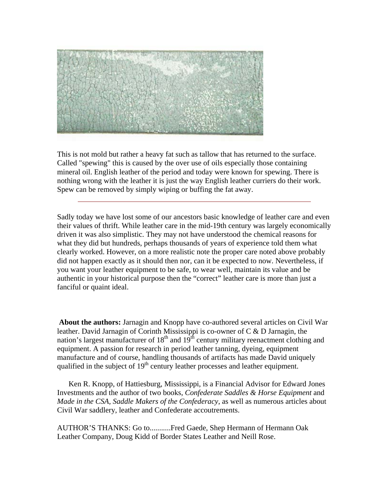

This is not mold but rather a heavy fat such as tallow that has returned to the surface. Called "spewing" this is caused by the over use of oils especially those containing mineral oil. English leather of the period and today were known for spewing. There is nothing wrong with the leather it is just the way English leather curriers do their work. Spew can be removed by simply wiping or buffing the fat away.

Sadly today we have lost some of our ancestors basic knowledge of leather care and even their values of thrift. While leather care in the mid-19th century was largely economically driven it was also simplistic. They may not have understood the chemical reasons for what they did but hundreds, perhaps thousands of years of experience told them what clearly worked. However, on a more realistic note the proper care noted above probably did not happen exactly as it should then nor, can it be expected to now. Nevertheless, if you want your leather equipment to be safe, to wear well, maintain its value and be authentic in your historical purpose then the "correct" leather care is more than just a fanciful or quaint ideal.

**About the authors:** Jarnagin and Knopp have co-authored several articles on Civil War leather. David Jarnagin of Corinth Mississippi is co-owner of C & D Jarnagin, the nation's largest manufacturer of  $18<sup>th</sup>$  and  $19<sup>th</sup>$  century military reenactment clothing and equipment. A passion for research in period leather tanning, dyeing, equipment manufacture and of course, handling thousands of artifacts has made David uniquely qualified in the subject of  $19<sup>th</sup>$  century leather processes and leather equipment.

 Ken R. Knopp, of Hattiesburg, Mississippi, is a Financial Advisor for Edward Jones Investments and the author of two books, *Confederate Saddles & Horse Equipment* and *Made in the CSA, Saddle Makers of the Confederacy*, as well as numerous articles about Civil War saddlery, leather and Confederate accoutrements.

AUTHOR'S THANKS: Go to...........Fred Gaede, Shep Hermann of Hermann Oak Leather Company, Doug Kidd of Border States Leather and Neill Rose.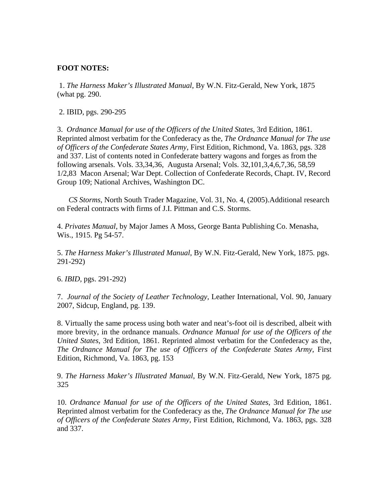## **FOOT NOTES:**

 1. *The Harness Maker's Illustrated Manual*, By W.N. Fitz-Gerald, New York, 1875 (what pg. 290.

2. IBID, pgs. 290-295

3. *Ordnance Manual for use of the Officers of the United States*, 3rd Edition, 1861. Reprinted almost verbatim for the Confederacy as the, *The Ordnance Manual for The use of Officers of the Confederate States Army*, First Edition, Richmond, Va. 1863, pgs. 328 and 337. List of contents noted in Confederate battery wagons and forges as from the following arsenals. Vols. 33,34,36, Augusta Arsenal; Vols. 32,101,3,4,6,7,36, 58,59 1/2,83 Macon Arsenal; War Dept. Collection of Confederate Records, Chapt. IV, Record Group 109; National Archives, Washington DC.

 *CS Storms,* North South Trader Magazine, Vol. 31, No. 4, (2005).Additional research on Federal contracts with firms of J.I. Pittman and C.S. Storms.

4. *Privates Manual*, by Major James A Moss, George Banta Publishing Co. Menasha, Wis., 1915. Pg 54-57.

5. *The Harness Maker's Illustrated Manual*, By W.N. Fitz-Gerald, New York, 1875*.* pgs. 291-292)

6. *IBID,* pgs. 291-292)

7. *Journal of the Society of Leather Technology,* Leather International, Vol. 90, January 2007, Sidcup, England, pg. 139.

8. Virtually the same process using both water and neat's-foot oil is described, albeit with more brevity, in the ordnance manuals. *Ordnance Manual for use of the Officers of the United States*, 3rd Edition, 1861. Reprinted almost verbatim for the Confederacy as the, *The Ordnance Manual for The use of Officers of the Confederate States Army*, First Edition, Richmond, Va. 1863, pg. 153

9. *The Harness Maker's Illustrated Manual*, By W.N. Fitz-Gerald, New York, 1875 pg. 325

10. *Ordnance Manual for use of the Officers of the United States*, 3rd Edition, 1861. Reprinted almost verbatim for the Confederacy as the, *The Ordnance Manual for The use of Officers of the Confederate States Army*, First Edition, Richmond, Va. 1863, pgs. 328 and 337.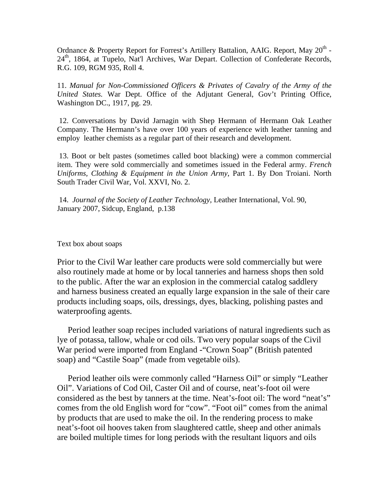Ordnance & Property Report for Forrest's Artillery Battalion, AAIG. Report, May  $20<sup>th</sup>$  -24<sup>th</sup>, 1864, at Tupelo, Nat'l Archives, War Depart. Collection of Confederate Records, R.G. 109, RGM 935, Roll 4.

11. *Manual for Non-Commissioned Officers & Privates of Cavalry of the Army of the United States.* War Dept. Office of the Adjutant General, Gov't Printing Office, Washington DC., 1917, pg. 29.

 12. Conversations by David Jarnagin with Shep Hermann of Hermann Oak Leather Company. The Hermann's have over 100 years of experience with leather tanning and employ leather chemists as a regular part of their research and development.

 13. Boot or belt pastes (sometimes called boot blacking) were a common commercial item. They were sold commercially and sometimes issued in the Federal army. *French Uniforms, Clothing & Equipment in the Union Army*, Part 1. By Don Troiani. North South Trader Civil War, Vol. XXVI, No. 2.

 14. *Journal of the Society of Leather Technology,* Leather International, Vol. 90, January 2007, Sidcup, England, p.138

Text box about soaps

Prior to the Civil War leather care products were sold commercially but were also routinely made at home or by local tanneries and harness shops then sold to the public. After the war an explosion in the commercial catalog saddlery and harness business created an equally large expansion in the sale of their care products including soaps, oils, dressings, dyes, blacking, polishing pastes and waterproofing agents.

 Period leather soap recipes included variations of natural ingredients such as lye of potassa, tallow, whale or cod oils. Two very popular soaps of the Civil War period were imported from England -"Crown Soap" (British patented soap) and "Castile Soap" (made from vegetable oils).

 Period leather oils were commonly called "Harness Oil" or simply "Leather Oil". Variations of Cod Oil, Caster Oil and of course, neat's-foot oil were considered as the best by tanners at the time. Neat's-foot oil: The word "neat's" comes from the old English word for "cow". "Foot oil" comes from the animal by products that are used to make the oil. In the rendering process to make neat's-foot oil hooves taken from slaughtered cattle, sheep and other animals are boiled multiple times for long periods with the resultant liquors and oils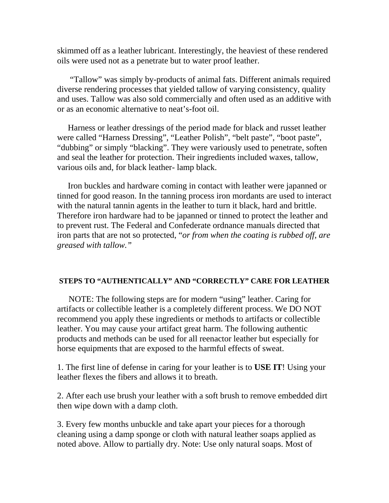skimmed off as a leather lubricant. Interestingly, the heaviest of these rendered oils were used not as a penetrate but to water proof leather.

 "Tallow" was simply by-products of animal fats. Different animals required diverse rendering processes that yielded tallow of varying consistency, quality and uses. Tallow was also sold commercially and often used as an additive with or as an economic alternative to neat's-foot oil.

 Harness or leather dressings of the period made for black and russet leather were called "Harness Dressing", "Leather Polish", "belt paste", "boot paste", "dubbing" or simply "blacking". They were variously used to penetrate, soften and seal the leather for protection. Their ingredients included waxes, tallow, various oils and, for black leather- lamp black.

 Iron buckles and hardware coming in contact with leather were japanned or tinned for good reason. In the tanning process iron mordants are used to interact with the natural tannin agents in the leather to turn it black, hard and brittle. Therefore iron hardware had to be japanned or tinned to protect the leather and to prevent rust. The Federal and Confederate ordnance manuals directed that iron parts that are not so protected, "*or from when the coating is rubbed off, are greased with tallow."* 

## **STEPS TO "AUTHENTICALLY" AND "CORRECTLY" CARE FOR LEATHER**

 NOTE: The following steps are for modern "using" leather. Caring for artifacts or collectible leather is a completely different process. We DO NOT recommend you apply these ingredients or methods to artifacts or collectible leather. You may cause your artifact great harm. The following authentic products and methods can be used for all reenactor leather but especially for horse equipments that are exposed to the harmful effects of sweat.

1. The first line of defense in caring for your leather is to **USE IT**! Using your leather flexes the fibers and allows it to breath.

2. After each use brush your leather with a soft brush to remove embedded dirt then wipe down with a damp cloth.

3. Every few months unbuckle and take apart your pieces for a thorough cleaning using a damp sponge or cloth with natural leather soaps applied as noted above. Allow to partially dry. Note: Use only natural soaps. Most of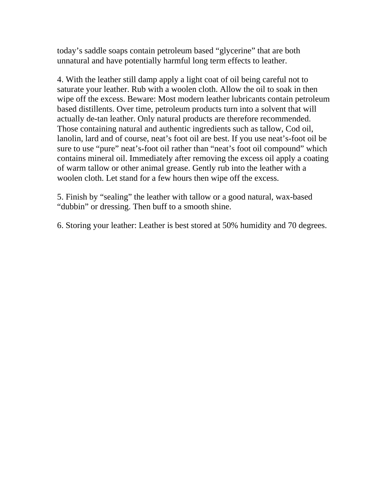today's saddle soaps contain petroleum based "glycerine" that are both unnatural and have potentially harmful long term effects to leather.

4. With the leather still damp apply a light coat of oil being careful not to saturate your leather. Rub with a woolen cloth. Allow the oil to soak in then wipe off the excess. Beware: Most modern leather lubricants contain petroleum based distillents. Over time, petroleum products turn into a solvent that will actually de-tan leather. Only natural products are therefore recommended. Those containing natural and authentic ingredients such as tallow, Cod oil, lanolin, lard and of course, neat's foot oil are best. If you use neat's-foot oil be sure to use "pure" neat's-foot oil rather than "neat's foot oil compound" which contains mineral oil. Immediately after removing the excess oil apply a coating of warm tallow or other animal grease. Gently rub into the leather with a woolen cloth. Let stand for a few hours then wipe off the excess.

5. Finish by "sealing" the leather with tallow or a good natural, wax-based "dubbin" or dressing. Then buff to a smooth shine.

6. Storing your leather: Leather is best stored at 50% humidity and 70 degrees.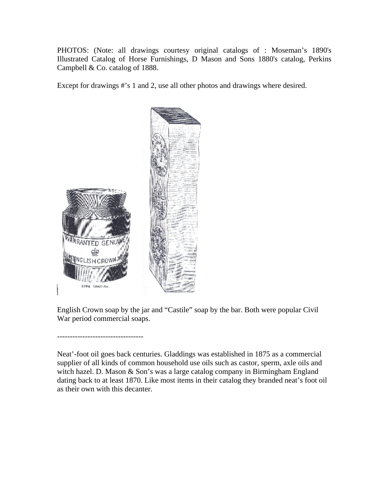PHOTOS: (Note: all drawings courtesy original catalogs of : Moseman's 1890's Illustrated Catalog of Horse Furnishings, D Mason and Sons 1880's catalog, Perkins Campbell & Co. catalog of 1888.

Except for drawings #'s 1 and 2, use all other photos and drawings where desired.



----------------------------------

English Crown soap by the jar and "Castile" soap by the bar. Both were popular Civil War period commercial soaps.

Neat'-foot oil goes back centuries. Gladdings was established in 1875 as a commercial supplier of all kinds of common household use oils such as castor, sperm, axle oils and witch hazel. D. Mason & Son's was a large catalog company in Birmingham England dating back to at least 1870. Like most items in their catalog they branded neat's foot oil as their own with this decanter.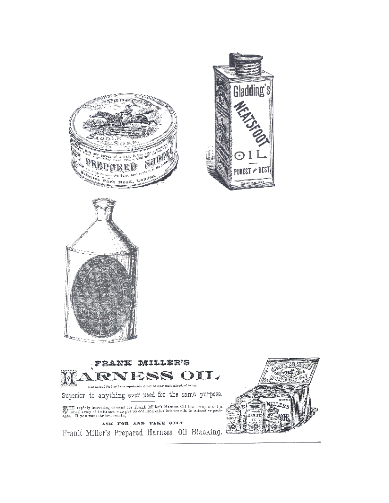







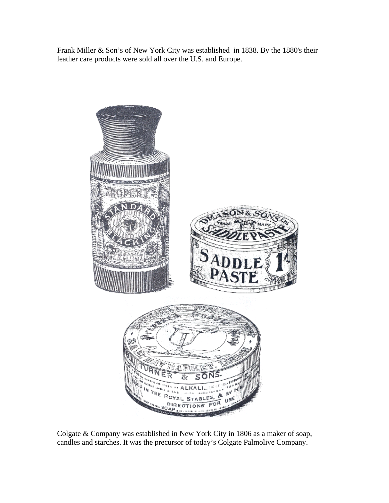Frank Miller & Son's of New York City was established in 1838. By the 1880's their leather care products were sold all over the U.S. and Europe.



Colgate & Company was established in New York City in 1806 as a maker of soap, candles and starches. It was the precursor of today's Colgate Palmolive Company.